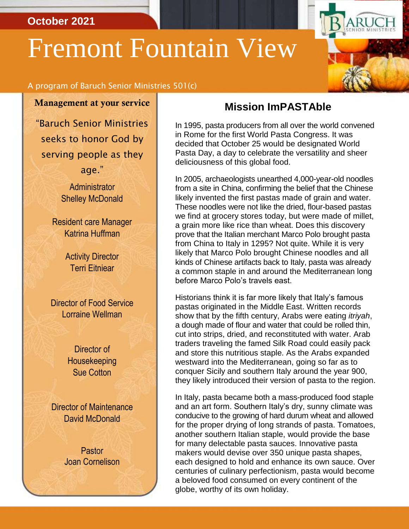#### **October 2021**

# Fremont Fountain View



Management at your service

"Baruch Senior Ministries seeks to honor God by serving people as they

age."

**Administrator** Shelley McDonald

Resident care Manager Katrina Huffman

> **Activity Director** Terri Eitniear

Director of Food Service Lorraine Wellman

> Director of Housekeeping Sue Cotton

Director of Maintenance David McDonald

> Pastor Joan Cornelison

#### **Mission ImPASTAble**

In 1995, pasta producers from all over the world convened in Rome for the first World Pasta Congress. It was decided that October 25 would be designated World Pasta Day, a day to celebrate the versatility and sheer deliciousness of this global food.

In 2005, archaeologists unearthed 4,000-year-old noodles from a site in China, confirming the belief that the Chinese likely invented the first pastas made of grain and water. These noodles were not like the dried, flour-based pastas we find at grocery stores today, but were made of millet, a grain more like rice than wheat. Does this discovery prove that the Italian merchant Marco Polo brought pasta from China to Italy in 1295? Not quite. While it is very likely that Marco Polo brought Chinese noodles and all kinds of Chinese artifacts back to Italy, pasta was already a common staple in and around the Mediterranean long before Marco Polo's travels east.

Historians think it is far more likely that Italy's famous pastas originated in the Middle East. Written records show that by the fifth century, Arabs were eating *itriyah*, a dough made of flour and water that could be rolled thin, cut into strips, dried, and reconstituted with water. Arab traders traveling the famed Silk Road could easily pack and store this nutritious staple. As the Arabs expanded westward into the Mediterranean, going so far as to conquer Sicily and southern Italy around the year 900, they likely introduced their version of pasta to the region.

In Italy, pasta became both a mass-produced food staple and an art form. Southern Italy's dry, sunny climate was conducive to the growing of hard durum wheat and allowed for the proper drying of long strands of pasta. Tomatoes, another southern Italian staple, would provide the base for many delectable pasta sauces. Innovative pasta makers would devise over 350 unique pasta shapes, each designed to hold and enhance its own sauce. Over centuries of culinary perfectionism, pasta would become a beloved food consumed on every continent of the globe, worthy of its own holiday.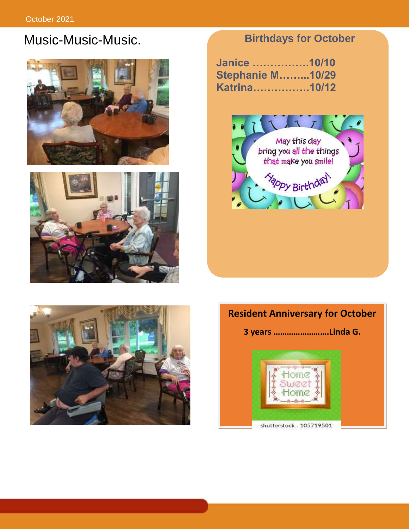## Music-Music-Music. **Birthdays for October**





**Janice …………….10/10 Stephanie M……...10/29 Katrina…………….10/12**





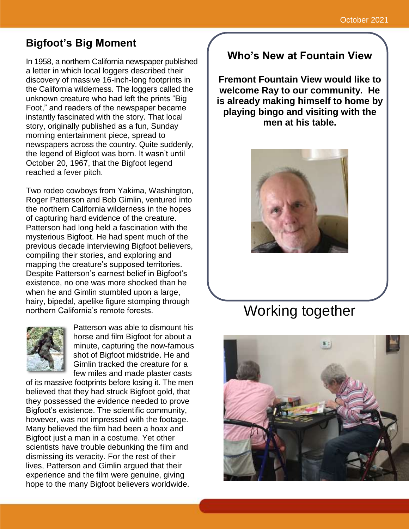### **Bigfoot's Big Moment**

In 1958, a northern California newspaper published a letter in which local loggers described their discovery of massive 16-inch-long footprints in the California wilderness. The loggers called the unknown creature who had left the prints "Big Foot," and readers of the newspaper became instantly fascinated with the story. That local story, originally published as a fun, Sunday morning entertainment piece, spread to newspapers across the country. Quite suddenly, the legend of Bigfoot was born. It wasn't until October 20, 1967, that the Bigfoot legend reached a fever pitch.

Two rodeo cowboys from Yakima, Washington, Roger Patterson and Bob Gimlin, ventured into the northern California wilderness in the hopes of capturing hard evidence of the creature. Patterson had long held a fascination with the mysterious Bigfoot. He had spent much of the previous decade interviewing Bigfoot believers, compiling their stories, and exploring and mapping the creature's supposed territories. Despite Patterson's earnest belief in Bigfoot's existence, no one was more shocked than he when he and Gimlin stumbled upon a large, hairy, bipedal, apelike figure stomping through northern California's remote forests.



Patterson was able to dismount his horse and film Bigfoot for about a minute, capturing the now-famous shot of Bigfoot midstride. He and Gimlin tracked the creature for a few miles and made plaster casts

of its massive footprints before losing it. The men believed that they had struck Bigfoot gold, that they possessed the evidence needed to prove Bigfoot's existence. The scientific community, however, was not impressed with the footage. Many believed the film had been a hoax and Bigfoot just a man in a costume. Yet other scientists have trouble debunking the film and dismissing its veracity. For the rest of their lives, Patterson and Gimlin argued that their experience and the film were genuine, giving hope to the many Bigfoot believers worldwide.

#### **Who's New at Fountain View**

**Fremont Fountain View would like to welcome Ray to our community. He is already making himself to home by playing bingo and visiting with the men at his table.**



# Working together